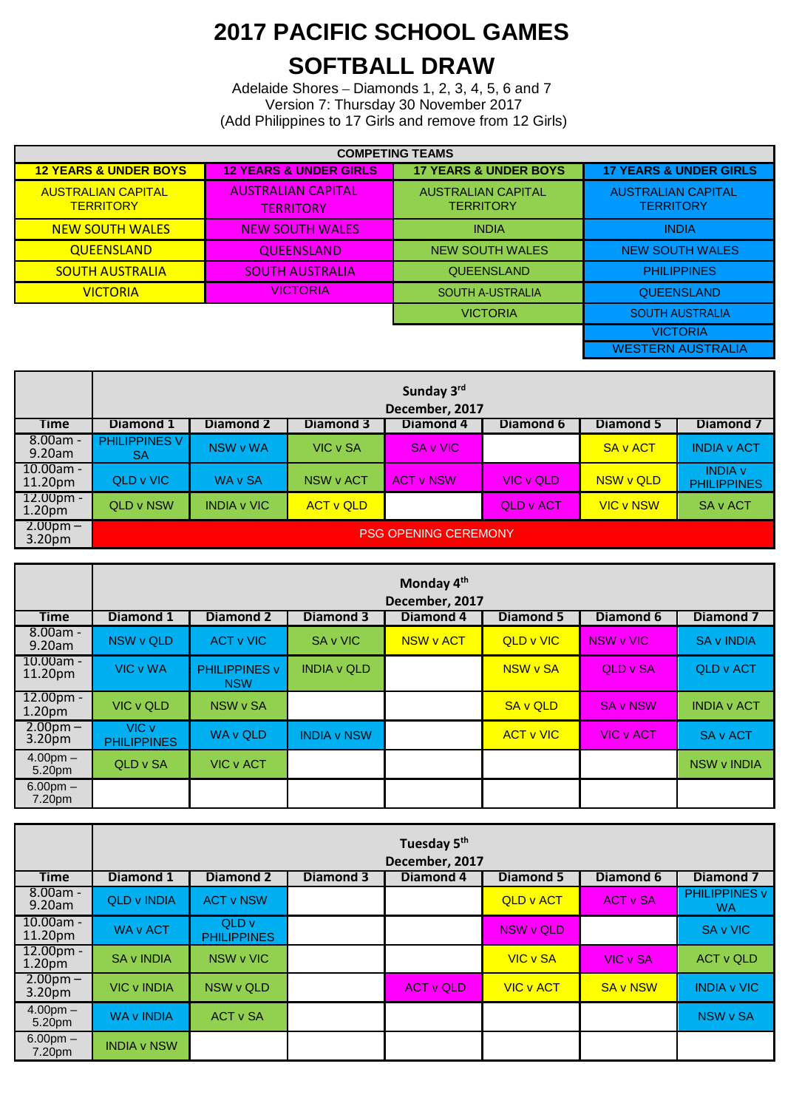## **2017 PACIFIC SCHOOL GAMES SOFTBALL DRAW**

Adelaide Shores – Diamonds 1, 2, 3, 4, 5, 6 and 7 Version 7: Thursday 30 November 2017 (Add Philippines to 17 Girls and remove from 12 Girls)

| <b>COMPETING TEAMS</b>                        |                                              |                                               |                                               |  |  |  |  |
|-----------------------------------------------|----------------------------------------------|-----------------------------------------------|-----------------------------------------------|--|--|--|--|
| <b>12 YEARS &amp; UNDER BOYS</b>              | <b>12 YEARS &amp; UNDER GIRLS</b>            | <b>17 YEARS &amp; UNDER BOYS</b>              | <b>17 YEARS &amp; UNDER GIRLS</b>             |  |  |  |  |
| <b>AUSTRALIAN CAPITAL</b><br><b>TERRITORY</b> | <b>AUSTRAHAN CAPITAL</b><br><b>TERRITORY</b> | <b>AUSTRALIAN CAPITAL</b><br><b>TERRITORY</b> | <b>AUSTRALIAN CAPITAL</b><br><b>TERRITORY</b> |  |  |  |  |
| <b>NEW SOUTH WALES</b>                        | <b>NEW SOUTH WALES</b>                       | <b>INDIA</b>                                  | <b>INDIA</b>                                  |  |  |  |  |
| <b>QUEENSLAND</b>                             | <b>QUEENSLAND</b>                            | <b>NEW SOUTH WALES</b>                        | <b>NEW SOUTH WALES</b>                        |  |  |  |  |
| <b>SOUTH AUSTRALIA</b>                        | <b>SOUTH AUSTRALIA</b>                       |                                               | <b>PHILIPPINES</b>                            |  |  |  |  |
| <b>VICTORIA</b>                               | <b>VICTORIA</b>                              | <b>SOUTH A-USTRALIA</b>                       | <b>QUEENSLAND</b>                             |  |  |  |  |
|                                               | <b>VICTORIA</b>                              | <b>SOUTH AUSTRALIA</b>                        |                                               |  |  |  |  |
| <b>VICTORIA</b>                               |                                              |                                               |                                               |  |  |  |  |
| <b>WESTERN AUSTRALIA</b>                      |                                              |                                               |                                               |  |  |  |  |

|                                           | Sunday 3rd<br>December, 2017 |                    |                  |                  |           |                  |                                      |  |  |  |
|-------------------------------------------|------------------------------|--------------------|------------------|------------------|-----------|------------------|--------------------------------------|--|--|--|
| <b>Time</b>                               | Diamond 1                    | Diamond 2          | Diamond 3        | Diamond 4        | Diamond 6 | Diamond 5        | Diamond 7                            |  |  |  |
| $8.00am -$<br>9.20am                      | PHILIPPINES V<br><b>SA</b>   | NSW v WA           | <b>VIC v SA</b>  | SA v VIC         |           | <b>SA v ACT</b>  | <b>INDIA v ACT</b>                   |  |  |  |
| $10.00$ am -<br>11.20pm                   | QLD v VIC                    | WA v SA            | NSW v ACT        | <b>ACT v NSW</b> | VIC v QLD | NSW v QLD        | <b>INDIA v</b><br><b>PHILIPPINES</b> |  |  |  |
| $12.00pm -$<br>1.20 <sub>pm</sub>         | QLD v NSW                    | <b>INDIA v VIC</b> | <b>ACT v QLD</b> |                  | QLD v ACT | <b>VIC v NSW</b> | SA v ACT                             |  |  |  |
| $2.00 \text{pm} - $<br>3.20 <sub>pm</sub> | <b>PSG OPENING CEREMONY</b>  |                    |                  |                  |           |                  |                                      |  |  |  |

|                                   | Monday 4 <sup>th</sup><br>December, 2017 |                                    |                    |                  |                  |                  |                    |  |  |
|-----------------------------------|------------------------------------------|------------------------------------|--------------------|------------------|------------------|------------------|--------------------|--|--|
| <b>Time</b>                       | Diamond 1                                | <b>Diamond 2</b>                   | <b>Diamond 3</b>   | <b>Diamond 4</b> | <b>Diamond 5</b> | Diamond 6        | <b>Diamond 7</b>   |  |  |
| $8.00am -$<br>9.20am              | NSW v QLD                                | ACT v VIC                          | SA v VIC           | NSW v ACT        | <b>QLD v VIC</b> | NSW v VIC        | <b>SA v INDIA</b>  |  |  |
| $10.00am -$<br>11.20pm            | <b>VIC v WA</b>                          | <b>PHILIPPINES v</b><br><b>NSW</b> | <b>INDIA v QLD</b> |                  | NSW v SA         | <b>QLD v SA</b>  | <b>QLD v ACT</b>   |  |  |
| $12.00pm -$<br>1.20 <sub>pm</sub> | VIC v QLD                                | NSW v SA                           |                    |                  | <b>SA v QLD</b>  | <b>SA v NSW</b>  | <b>INDIA v ACT</b> |  |  |
| $2.00pm -$<br>3.20pm              | VIC v<br><b>PHILIPPINES</b>              | WA v QLD                           | <b>INDIA v NSW</b> |                  | <b>ACT v VIC</b> | <b>VIC v ACT</b> | SA v ACT           |  |  |
| $4.00pm -$<br>5.20pm              | QLD v SA                                 | <b>VIC v ACT</b>                   |                    |                  |                  |                  | <b>NSW v INDIA</b> |  |  |
| $6.00pm -$<br>7.20pm              |                                          |                                    |                    |                  |                  |                  |                    |  |  |

|                                   | Tuesday 5 <sup>th</sup><br>December, 2017 |                             |                  |                  |                  |                 |                                   |  |  |
|-----------------------------------|-------------------------------------------|-----------------------------|------------------|------------------|------------------|-----------------|-----------------------------------|--|--|
| <b>Time</b>                       | Diamond 1                                 | <b>Diamond 2</b>            | <b>Diamond 3</b> | <b>Diamond 4</b> | <b>Diamond 5</b> | Diamond 6       | <b>Diamond 7</b>                  |  |  |
| $8.00am -$<br>9.20am              | <b>QLD v INDIA</b>                        | <b>ACT v NSW</b>            |                  |                  | <b>QLD v ACT</b> | <b>ACT v SA</b> | <b>PHILIPPINES v</b><br><b>WA</b> |  |  |
| $10.00am -$<br>11.20pm            | <b>WA v ACT</b>                           | QLD v<br><b>PHILIPPINES</b> |                  |                  | NSW v QLD        |                 | SA v VIC                          |  |  |
| $12.00pm -$<br>1.20 <sub>pm</sub> | <b>SA v INDIA</b>                         | NSW v VIC                   |                  |                  | <b>VIC v SA</b>  | VIC v SA        | <b>ACT v QLD</b>                  |  |  |
| $2.00pm -$<br>3.20pm              | <b>VIC v INDIA</b>                        | NSW v QLD                   |                  | <b>ACT v QLD</b> | <b>VIC v ACT</b> | <b>SA v NSW</b> | <b>INDIA v VIC</b>                |  |  |
| $4.00pm -$<br>5.20pm              | <b>WA v INDIA</b>                         | <b>ACT v SA</b>             |                  |                  |                  |                 | NSW v SA                          |  |  |
| $6.00pm -$<br>7.20pm              | <b>INDIA v NSW</b>                        |                             |                  |                  |                  |                 |                                   |  |  |